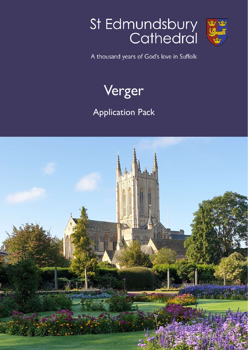# St Edmundsbury<br>Cathedral



A thousand years of God's love in Suffolk



# Application Pack

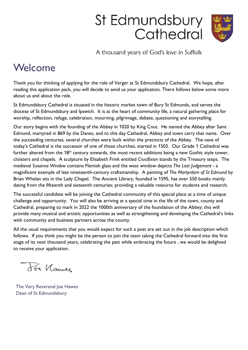# St Edmundsbury Cathedral



A thousand years of God's love in Suffolk

# Welcome

Thank you for thinking of applying for the role of Verger at St Edmundsbury Cathedral. We hope, after reading this application pack, you will decide to send us your application. There follows below some more about us and about the role.

St Edmundsbury Cathedral is situated in the historic market town of Bury St Edmunds, and serves the diocese of St Edmundsbury and Ipswich. It is at the heart of community life, a natural gathering place for worship, reflection, refuge, celebration, mourning, pilgrimage, debate, questioning and storytelling.

Our story begins with the founding of the Abbey in 1020 by King Cnut. He named the Abbey after Saint Edmund, martyred in 869 by the Danes, and to this day Cathedral, Abbey and town carry that name. Over the succeeding centuries, several churches were built within the precincts of the Abbey. The nave of today's Cathedral is the successor of one of those churches, started in 1503. Our Grade 1 Cathedral was further altered from the 18<sup>th</sup> century onwards, the most recent additions being a new Gothic style tower, cloisters and chapels. A sculpture by Elisabeth Frink entitled Crucifixion stands by the Treasury steps. The medieval Susanna Window contains Flemish glass and the west window depicts The Last Judgement - a magnificent example of late nineteenth-century craftsmanship. A painting of The Martyrdom of St Edmund by Brian Whelan sits in the Lady Chapel. The Ancient Library, founded in 1595, has over 550 books mainly dating from the fifteenth and sixteenth centuries; providing a valuable resource for students and research.

The successful candidate will be joining the Cathedral community of this special place at a time of unique challenge and opportunity. You will also be arriving at a special time in the life of the town, county and Cathedral, preparing to mark in 2022 the 1000th anniversary of the foundation of the Abbey; this will provide many musical and artistic opportunities as well as strengthening and developing the Cathedral's links with community and business partners across the county.

All the usual requirements that you would expect for such a post are set out in the job description which follows. If you think you might be the person to join the team taking the Cathedral forward into the first stage of its next thousand years, celebrating the past while embracing the future , we would be delighted to receive your application.

The Names

The Very Reverend Joe Hawes Dean of St Edmundsbury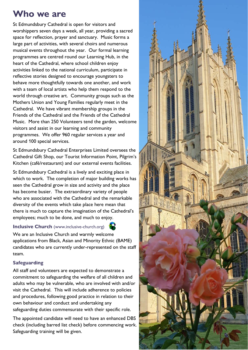# Who we are

St Edmundsbury Cathedral is open for visitors and worshippers seven days a week, all year, providing a sacred space for reflection, prayer and sanctuary. Music forms a large part of activities, with several choirs and numerous musical events throughout the year. Our formal learning programmes are centred round our Learning Hub, in the heart of the Cathedral, where school children enjoy activities linked to the national curriculum, participate in reflective stories designed to encourage youngsters to behave more thoughtfully towards one another, and work with a team of local artists who help them respond to the world through creative art. Community groups such as the Mothers Union and Young Families regularly meet in the Cathedral. We have vibrant membership groups in the Friends of the Cathedral and the Friends of the Cathedral Music. More than 250 Volunteers tend the garden, welcome visitors and assist in our learning and community programmes. We offer 960 regular services a year and around 100 special services.

St Edmundsbury Cathedral Enterprises Limited oversees the Cathedral Gift Shop, our Tourist Information Point, Pilgrim's Kitchen (café/restaurant) and our external events facilities.

St Edmundsbury Cathedral is a lively and exciting place in which to work. The completion of major building works has seen the Cathedral grow in size and activity and the place has become busier. The extraordinary variety of people who are associated with the Cathedral and the remarkable diversity of the events which take place here mean that there is much to capture the imagination of the Cathedral's employees; much to be done, and much to enjoy.

#### Inclusive Church (www.inclusive-church.org)

We are an Inclusive Church and warmly welcome applications from Black, Asian and Minority Ethnic (BAME) candidates who are currently under-represented on the staff team.

#### Safeguarding

All staff and volunteers are expected to demonstrate a commitment to safeguarding the welfare of all children and adults who may be vulnerable, who are involved with and/or visit the Cathedral. This will include adherence to policies and procedures, following good practice in relation to their own behaviour and conduct and undertaking any safeguarding duties commensurate with their specific role.

The appointed candidate will need to have an enhanced DBS check (including barred list check) before commencing work. Safeguarding training will be given.

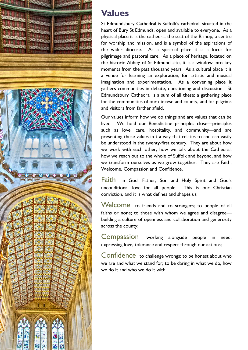

## Values

St Edmundsbury Cathedral is Suffolk's cathedral, situated in the heart of Bury St Edmunds, open and available to everyone. As a physical place it is the cathedra, the seat of the Bishop, a centre for worship and mission, and is a symbol of the aspirations of the wider diocese. As a spiritual place it is a focus for pilgrimage and pastoral care. As a place of heritage, located on the historic Abbey of St Edmund site, it is a window into key moments from the past thousand years. As a cultural place it is a venue for learning an exploration, for artistic and musical imagination and experimentation. As a convening place it gathers communities in debate, questioning and discussion. St Edmundsbury Cathedral is a sum of all these: a gathering place for the communities of our diocese and county, and for pilgrims and visitors from farther afield.

Our values inform how we do things and are values that can be lived. We hold our Benedictine principles close—principles such as love, care, hospitality, and community—and are presenting these values in t a way that relates to and can easily be understood in the twenty-first century. They are about how we work with each other, how we talk about the Cathedral, how we reach out to the whole of Suffolk and beyond, and how we transform ourselves as we grow together. They are Faith, Welcome, Compassion and Confidence.

Faith in God, Father, Son and Holy Spirit and God's unconditional love for all people. This is our Christian conviction, and it is what defines and shapes us;

Welcome to friends and to strangers; to people of all faiths or none; to those with whom we agree and disagree building a culture of openness and collaboration and generosity across the county;

Compassion working alongside people in need, expressing love, tolerance and respect through our actions;

Confidence to challenge wrongs; to be honest about who we are and what we stand for; to be daring in what we do, how we do it and who we do it with.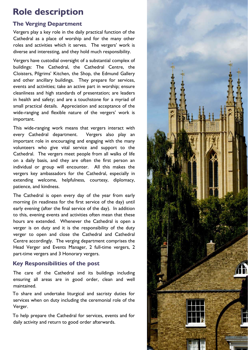# Role description

#### The Verging Department

Vergers play a key role in the daily practical function of the Cathedral as a place of worship and for the many other roles and activities which it serves. The vergers' work is diverse and interesting, and they hold much responsibility.

Vergers have custodial oversight of a substantial complex of buildings: The Cathedral, the Cathedral Centre, the Cloisters, Pilgrims' Kitchen, the Shop, the Edmund Gallery and other ancillary buildings. They prepare for services, events and activities; take an active part in worship; ensure cleanliness and high standards of presentation; are leaders in health and safety; and are a touchstone for a myriad of small practical details. Appreciation and acceptance of the wide-ranging and flexible nature of the vergers' work is important.

This wide-ranging work means that vergers interact with every Cathedral department. Vergers also play an important role in encouraging and engaging with the many volunteers who give vital service and support to the Cathedral. The vergers meet people from all walks of life on a daily basis, and they are often the first person an individual or group will encounter. All this makes the vergers key ambassadors for the Cathedral, especially in extending welcome, helpfulness, courtesy, diplomacy, patience, and kindness.

The Cathedral is open every day of the year from early morning (in readiness for the first service of the day) until early evening (after the final service of the day). In addition to this, evening events and activities often mean that these hours are extended. Whenever the Cathedral is open a verger is on duty and it is the responsibility of the duty verger to open and close the Cathedral and Cathedral Centre accordingly. The verging department comprises the Head Verger and Events Manager, 2 full-time vergers, 2 part-time vergers and 3 Honorary vergers.

#### Key Responsibilities of the post

The care of the Cathedral and its buildings including ensuring all areas are in good order, clean and well maintained.

To share and undertake liturgical and sacristy duties for services when on duty including the ceremonial role of the Verger.

To help prepare the Cathedral for services, events and for daily activity and return to good order afterwards.

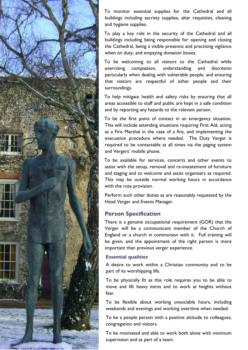

To monitor essential supplies for the Cathedral and all buildings including sacristy supplies, altar requisites, cleaning and hygiene supplies.

To play a key role in the security of the Cathedral and all buildings including being responsible for opening and closing the Cathedral, being a visible presence and practising vigilance when on duty, and emptying donation boxes.

To be welcoming to all visitors to the Cathedral while exercising compassion, understanding and discretion particularly when dealing with vulnerable people, and ensuring that visitors are respectful of other people and their surroundings.

To help mitigate health and safety risks by ensuring that all areas accessible to staff and public are kept in a safe condition and by reporting any hazards to the relevant person.

To be the first point of contact in an emergency situation. This will include attending situations requiring First Aid, acting as a Fire Marshal in the case of a fire, and implementing the evacuation procedure where needed. The Duty Verger is required to be contactable at all times via the paging system and Vergers' mobile phone.

To be available for services, concerts and other events to assist with the setup, removal and re-instatement of furniture and staging and to welcome and assist organisers as required. This may be outside normal working hours in accordance with the rota provision.

Perform such other duties as are reasonably requested by the Head Verger and Events Manager.

#### Person Specification

There is a genuine occupational requirement (GOR) that the Verger will be a communicant member of the Church of England or a church in communion with it. Full training will be given, and the appointment of the right person is more important than previous verger experience.

#### Essential qualities

A desire to work within a Christian community and to be part of its worshipping life.

To be physically fit as this role requires you to be able to move and lift heavy items and to work at heights without fear.

To be flexible about working unsociable hours, including weekends and evenings and working overtime when needed.

To be a people person with a positive attitude to colleagues, congregation and visitors.

To be motivated and able to work both alone with minimum supervision and as part of a team.